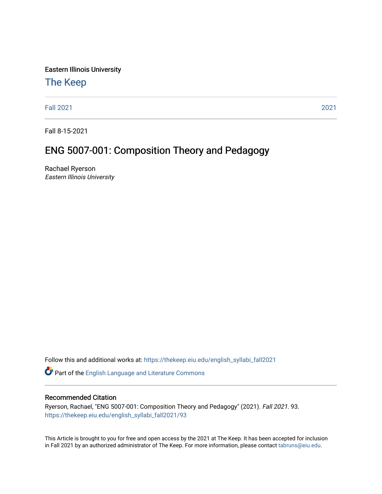Eastern Illinois University

#### [The Keep](https://thekeep.eiu.edu/)

[Fall 2021](https://thekeep.eiu.edu/english_syllabi_fall2021) [2021](https://thekeep.eiu.edu/english_syllabi2021) 

Fall 8-15-2021

#### ENG 5007-001: Composition Theory and Pedagogy

Rachael Ryerson Eastern Illinois University

Follow this and additional works at: [https://thekeep.eiu.edu/english\\_syllabi\\_fall2021](https://thekeep.eiu.edu/english_syllabi_fall2021?utm_source=thekeep.eiu.edu%2Fenglish_syllabi_fall2021%2F93&utm_medium=PDF&utm_campaign=PDFCoverPages) 

Part of the [English Language and Literature Commons](http://network.bepress.com/hgg/discipline/455?utm_source=thekeep.eiu.edu%2Fenglish_syllabi_fall2021%2F93&utm_medium=PDF&utm_campaign=PDFCoverPages)

#### Recommended Citation

Ryerson, Rachael, "ENG 5007-001: Composition Theory and Pedagogy" (2021). Fall 2021. 93. [https://thekeep.eiu.edu/english\\_syllabi\\_fall2021/93](https://thekeep.eiu.edu/english_syllabi_fall2021/93?utm_source=thekeep.eiu.edu%2Fenglish_syllabi_fall2021%2F93&utm_medium=PDF&utm_campaign=PDFCoverPages)

This Article is brought to you for free and open access by the 2021 at The Keep. It has been accepted for inclusion in Fall 2021 by an authorized administrator of The Keep. For more information, please contact [tabruns@eiu.edu](mailto:tabruns@eiu.edu).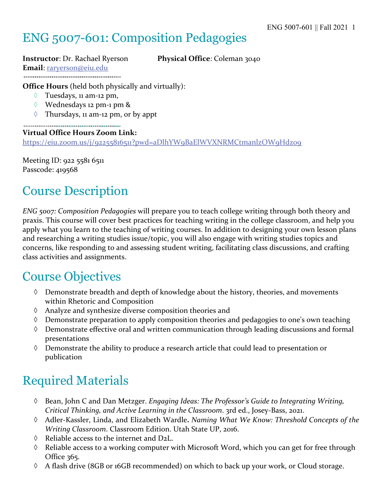# ENG 5007-601: Composition Pedagogies

#### **Instructor**: Dr. Rachael Ryerson **Physical Office**: Coleman 3040 **Email**: raryerson@eiu.edu

**Office Hours** (held both physically and virtually):

- $\Diamond$  Tuesdays, 11 am-12 pm,
- à Wednesdays 12 pm-1 pm &
- $\Diamond$  Thursdays, 11 am-12 pm, or by appt

**Virtual Office Hours Zoom Link:** https://eiu.zoom.us/j/92255816511?pwd=aDlhYW9BaElWVXNRMCtmanlzOW9Hdz09

Meeting ID: 922 5581 6511 Passcode: 419568

## Course Description

*ENG 5007: Composition Pedagogies* will prepare you to teach college writing through both theory and praxis. This course will cover best practices for teaching writing in the college classroom, and help you apply what you learn to the teaching of writing courses. In addition to designing your own lesson plans and researching a writing studies issue/topic, you will also engage with writing studies topics and concerns, like responding to and assessing student writing, facilitating class discussions, and crafting class activities and assignments.

### Course Objectives

- à Demonstrate breadth and depth of knowledge about the history, theories, and movements within Rhetoric and Composition
- $\Diamond$  Analyze and synthesize diverse composition theories and
- $\Diamond$  Demonstrate preparation to apply composition theories and pedagogies to one's own teaching
- à Demonstrate effective oral and written communication through leading discussions and formal presentations
- $\Diamond$  Demonstrate the ability to produce a research article that could lead to presentation or publication

## Required Materials

- à Bean, John C and Dan Metzger. *Engaging Ideas: The Professor's Guide to Integrating Writing, Critical Thinking, and Active Learning in the Classroom*. 3rd ed., Josey-Bass, 2021.
- à Adler-Kassler, Linda, and Elizabeth Wardle**.** *Naming What We Know: Threshold Concepts of the Writing Classroom*. Classroom Edition. Utah State UP, 2016.
- $\Diamond$  Reliable access to the internet and D2L.
- $\Diamond$  Reliable access to a working computer with Microsoft Word, which you can get for free through Office 365.
- à A flash drive (8GB or 16GB recommended) on which to back up your work, or Cloud storage.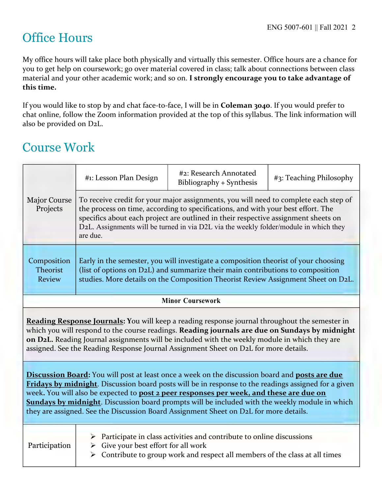## Office Hours

My office hours will take place both physically and virtually this semester. Office hours are a chance for you to get help on coursework; go over material covered in class; talk about connections between class material and your other academic work; and so on. **I strongly encourage you to take advantage of this time.** 

If you would like to stop by and chat face-to-face, I will be in **Coleman 3040**. If you would prefer to chat online, follow the Zoom information provided at the top of this syllabus. The link information will also be provided on D2L.

## Course Work

|                                                                                                                                                                                                                                                                                                                                                                                                                                                                                                      | #1: Lesson Plan Design                                                                                                                                                                                                                                                                                                                                              | #2: Research Annotated<br>Bibliography + Synthesis                                                                                                                  | #3: Teaching Philosophy |  |
|------------------------------------------------------------------------------------------------------------------------------------------------------------------------------------------------------------------------------------------------------------------------------------------------------------------------------------------------------------------------------------------------------------------------------------------------------------------------------------------------------|---------------------------------------------------------------------------------------------------------------------------------------------------------------------------------------------------------------------------------------------------------------------------------------------------------------------------------------------------------------------|---------------------------------------------------------------------------------------------------------------------------------------------------------------------|-------------------------|--|
| <b>Major Course</b><br>Projects                                                                                                                                                                                                                                                                                                                                                                                                                                                                      | To receive credit for your major assignments, you will need to complete each step of<br>the process on time, according to specifications, and with your best effort. The<br>specifics about each project are outlined in their respective assignment sheets on<br>D2L. Assignments will be turned in via D2L via the weekly folder/module in which they<br>are due. |                                                                                                                                                                     |                         |  |
| Composition<br><b>Theorist</b><br><b>Review</b>                                                                                                                                                                                                                                                                                                                                                                                                                                                      | Early in the semester, you will investigate a composition theorist of your choosing<br>(list of options on D2L) and summarize their main contributions to composition<br>studies. More details on the Composition Theorist Review Assignment Sheet on D2L.                                                                                                          |                                                                                                                                                                     |                         |  |
| <b>Minor Coursework</b>                                                                                                                                                                                                                                                                                                                                                                                                                                                                              |                                                                                                                                                                                                                                                                                                                                                                     |                                                                                                                                                                     |                         |  |
| Reading Response Journals: You will keep a reading response journal throughout the semester in<br>which you will respond to the course readings. Reading journals are due on Sundays by midnight<br>on D2L. Reading Journal assignments will be included with the weekly module in which they are<br>assigned. See the Reading Response Journal Assignment Sheet on D2L for more details.                                                                                                            |                                                                                                                                                                                                                                                                                                                                                                     |                                                                                                                                                                     |                         |  |
| Discussion Board: You will post at least once a week on the discussion board and posts are due<br>Fridays by midnight. Discussion board posts will be in response to the readings assigned for a given<br>week. You will also be expected to post 2 peer responses per week, and these are due on<br><b>Sundays by midnight</b> . Discussion board prompts will be included with the weekly module in which<br>they are assigned. See the Discussion Board Assignment Sheet on D2L for more details. |                                                                                                                                                                                                                                                                                                                                                                     |                                                                                                                                                                     |                         |  |
| Participation                                                                                                                                                                                                                                                                                                                                                                                                                                                                                        | $\triangleright$ Give your best effort for all work                                                                                                                                                                                                                                                                                                                 | $\triangleright$ Participate in class activities and contribute to online discussions<br>Contribute to group work and respect all members of the class at all times |                         |  |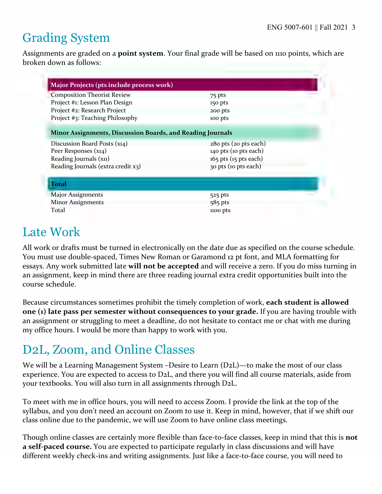## Grading System

Assignments are graded on a **point system**. Your final grade will be based on 1110 points, which are broken down as follows:

| Major Projects (pts include process work)                  |                           |
|------------------------------------------------------------|---------------------------|
| <b>Composition Theorist Review</b>                         | 75 pts                    |
| Project #1: Lesson Plan Design                             | 150 pts                   |
| Project #2: Research Project                               | 200 pts                   |
| Project #3: Teaching Philosophy                            | 100 pts                   |
| Minor Assignments, Discussion Boards, and Reading Journals |                           |
| Discussion Board Posts (x14)                               | 280 pts (20 pts each)     |
| Peer Responses (x14)                                       | 140 pts (10 pts each)     |
| Reading Journals (x11)                                     | $165$ pts $(15$ pts each) |
| Reading Journals (extra credit x3)                         | 30 pts (10 pts each)      |
| <b>Total</b>                                               |                           |
| <b>Major Assignments</b>                                   | 525 pts                   |
| <b>Minor Assignments</b>                                   | $585$ pts                 |
| Total                                                      | 1100 pts                  |

### Late Work

All work or drafts must be turned in electronically on the date due as specified on the course schedule. You must use double-spaced, Times New Roman or Garamond 12 pt font, and MLA formatting for essays. Any work submitted late **will not be accepted** and will receive a zero. If you do miss turning in an assignment, keep in mind there are three reading journal extra credit opportunities built into the course schedule.

Because circumstances sometimes prohibit the timely completion of work, **each student is allowed one (1) late pass per semester without consequences to your grade.** If you are having trouble with an assignment or struggling to meet a deadline, do not hesitate to contact me or chat with me during my office hours. I would be more than happy to work with you.

# D2L, Zoom, and Online Classes

We will be a Learning Management System –Desire to Learn (D2L)—to make the most of our class experience. You are expected to access to D2L, and there you will find all course materials, aside from your textbooks. You will also turn in all assignments through D2L.

To meet with me in office hours, you will need to access Zoom. I provide the link at the top of the syllabus, and you don't need an account on Zoom to use it. Keep in mind, however, that if we shift our class online due to the pandemic, we will use Zoom to have online class meetings.

Though online classes are certainly more flexible than face-to-face classes, keep in mind that this is **not a self-paced course.** You are expected to participate regularly in class discussions and will have different weekly check-ins and writing assignments. Just like a face-to-face course, you will need to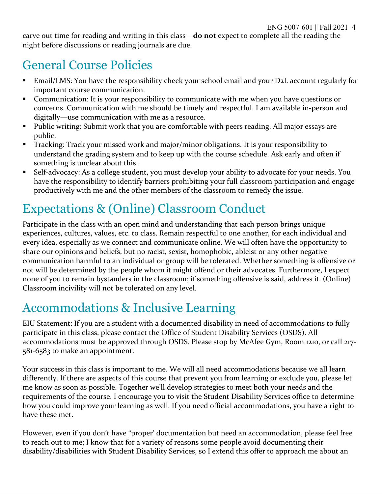carve out time for reading and writing in this class—**do not** expect to complete all the reading the night before discussions or reading journals are due.

# General Course Policies

- Email/LMS: You have the responsibility check your school email and your D2L account regularly for important course communication.
- § Communication: It is your responsibility to communicate with me when you have questions or concerns. Communication with me should be timely and respectful. I am available in-person and digitally—use communication with me as a resource.
- Public writing: Submit work that you are comfortable with peers reading. All major essays are public.
- § Tracking: Track your missed work and major/minor obligations. It is your responsibility to understand the grading system and to keep up with the course schedule. Ask early and often if something is unclear about this.
- Self-advocacy: As a college student, you must develop your ability to advocate for your needs. You have the responsibility to identify barriers prohibiting your full classroom participation and engage productively with me and the other members of the classroom to remedy the issue.

# Expectations & (Online) Classroom Conduct

Participate in the class with an open mind and understanding that each person brings unique experiences, cultures, values, etc. to class. Remain respectful to one another, for each individual and every idea, especially as we connect and communicate online. We will often have the opportunity to share our opinions and beliefs, but no racist, sexist, homophobic, ableist or any other negative communication harmful to an individual or group will be tolerated. Whether something is offensive or not will be determined by the people whom it might offend or their advocates. Furthermore, I expect none of you to remain bystanders in the classroom; if something offensive is said, address it. (Online) Classroom incivility will not be tolerated on any level.

## Accommodations & Inclusive Learning

EIU Statement: If you are a student with a documented disability in need of accommodations to fully participate in this class, please contact the Office of Student Disability Services (OSDS). All accommodations must be approved through OSDS. Please stop by McAfee Gym, Room 1210, or call 217- 581-6583 to make an appointment.

Your success in this class is important to me. We will all need accommodations because we all learn differently. If there are aspects of this course that prevent you from learning or exclude you, please let me know as soon as possible. Together we'll develop strategies to meet both your needs and the requirements of the course. I encourage you to visit the Student Disability Services office to determine how you could improve your learning as well. If you need official accommodations, you have a right to have these met.

However, even if you don't have "proper' documentation but need an accommodation, please feel free to reach out to me; I know that for a variety of reasons some people avoid documenting their disability/disabilities with Student Disability Services, so I extend this offer to approach me about an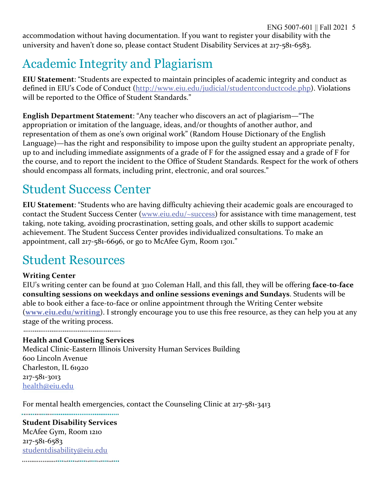accommodation without having documentation. If you want to register your disability with the university and haven't done so, please contact Student Disability Services at 217-581-6583.

## Academic Integrity and Plagiarism

**EIU Statement**: "Students are expected to maintain principles of academic integrity and conduct as defined in EIU's Code of Conduct (http://www.eiu.edu/judicial/studentconductcode.php). Violations will be reported to the Office of Student Standards."

**English Department Statement**: "Any teacher who discovers an act of plagiarism—"The appropriation or imitation of the language, ideas, and/or thoughts of another author, and representation of them as one's own original work" (Random House Dictionary of the English Language)—has the right and responsibility to impose upon the guilty student an appropriate penalty, up to and including immediate assignments of a grade of F for the assigned essay and a grade of F for the course, and to report the incident to the Office of Student Standards. Respect for the work of others should encompass all formats, including print, electronic, and oral sources."

### Student Success Center

**EIU Statement**: "Students who are having difficulty achieving their academic goals are encouraged to contact the Student Success Center (www.eiu.edu/~success) for assistance with time management, test taking, note taking, avoiding procrastination, setting goals, and other skills to support academic achievement. The Student Success Center provides individualized consultations. To make an appointment, call 217-581-6696, or go to McAfee Gym, Room 1301."

### Student Resources

#### **Writing Center**

EIU's writing center can be found at 3110 Coleman Hall, and this fall, they will be offering **face-to-face consulting sessions on weekdays and online sessions evenings and Sundays**. Students will be able to book either a face-to-face or online appointment through the Writing Center website (**www.eiu.edu/writing**). I strongly encourage you to use this free resource, as they can help you at any stage of the writing process.

#### **Health and Counseling Services**

Medical Clinic-Eastern Illinois University Human Services Building 600 Lincoln Avenue Charleston, IL 61920 217-581-3013 health@eiu.edu

For mental health emergencies, contact the Counseling Clinic at 217-581-3413

**Student Disability Services** McAfee Gym, Room 1210 217-581-6583 studentdisability@eiu.edu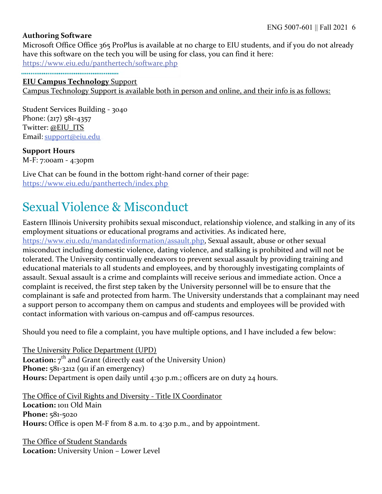#### **Authoring Software**

Microsoft Office Office 365 ProPlus is available at no charge to EIU students, and if you do not already have this software on the tech you will be using for class, you can find it here:

https://www.eiu.edu/panthertech/software.php

#### **EIU Campus Technology** Support

Campus Technology Support is available both in person and online, and their info is as follows:

Student Services Building - 3040 Phone: (217) 581-4357 Twitter: @EIU\_ITS Email: support@eiu.edu

**Support Hours**  M-F: 7:00am - 4:30pm

Live Chat can be found in the bottom right-hand corner of their page: https://www.eiu.edu/panthertech/index.php

## Sexual Violence & Misconduct

Eastern Illinois University prohibits sexual misconduct, relationship violence, and stalking in any of its employment situations or educational programs and activities. As indicated here, https://www.eiu.edu/mandatedinformation/assault.php, Sexual assault, abuse or other sexual misconduct including domestic violence, dating violence, and stalking is prohibited and will not be tolerated. The University continually endeavors to prevent sexual assault by providing training and educational materials to all students and employees, and by thoroughly investigating complaints of assault. Sexual assault is a crime and complaints will receive serious and immediate action. Once a complaint is received, the first step taken by the University personnel will be to ensure that the complainant is safe and protected from harm. The University understands that a complainant may need a support person to accompany them on campus and students and employees will be provided with contact information with various on-campus and off-campus resources.

Should you need to file a complaint, you have multiple options, and I have included a few below:

The University Police Department (UPD) **Location:**  $7^{th}$  and Grant (directly east of the University Union) Phone: 581-3212 (911 if an emergency) **Hours:** Department is open daily until 4:30 p.m.; officers are on duty 24 hours.

The Office of Civil Rights and Diversity - Title IX Coordinator **Location:** 1011 Old Main **Phone:** 581-5020 **Hours:** Office is open M-F from 8 a.m. to 4:30 p.m., and by appointment.

The Office of Student Standards **Location:** University Union – Lower Level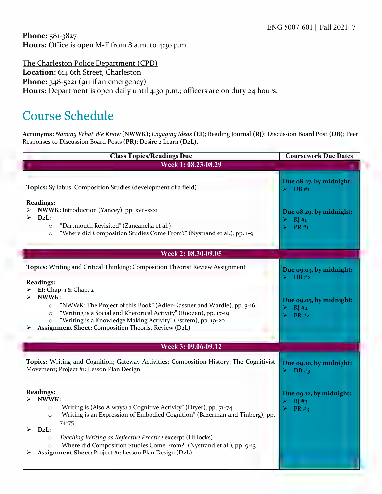**Phone:** 581-3827 **Hours:** Office is open M-F from 8 a.m. to 4:30 p.m.

The Charleston Police Department (CPD) **Location:** 614 6th Street, Charleston Phone: 348-5221 (911 if an emergency) Hours: Department is open daily until 4:30 p.m.; officers are on duty 24 hours.

### Course Schedule

**Acronyms:** *Naming What We Know* **(NWWK)**; *Engaging Ideas* **(EI)**; Reading Journal **(RJ)**; Discussion Board Post **(DB)**; Peer Responses to Discussion Board Posts **(PR)**; Desire 2 Learn **(D2L).**

| <b>Class Topics/Readings Due</b>                                                                                                                                                                                                                                                                                                                                                                                                                            | <b>Coursework Due Dates</b>                                                                                        |
|-------------------------------------------------------------------------------------------------------------------------------------------------------------------------------------------------------------------------------------------------------------------------------------------------------------------------------------------------------------------------------------------------------------------------------------------------------------|--------------------------------------------------------------------------------------------------------------------|
| Week 1: 08.23-08.29                                                                                                                                                                                                                                                                                                                                                                                                                                         |                                                                                                                    |
| Topics: Syllabus; Composition Studies (development of a field)<br><b>Readings:</b><br>NWWK: Introduction (Yancey), pp. xvii-xxxi<br>$D_2L$ :<br>"Dartmouth Revisited" (Zancanella et al.)<br>$\circ$<br>"Where did Composition Studies Come From?" (Nystrand et al.), pp. 1-9<br>$\circ$                                                                                                                                                                    | Due 08.27, by midnight:<br>$\triangleright$ DB #1<br>Due 08.29, by midnight:<br>RI#1<br>⋗<br>$\triangleright$ PR#1 |
| Week 2: 08.30-09.05                                                                                                                                                                                                                                                                                                                                                                                                                                         |                                                                                                                    |
|                                                                                                                                                                                                                                                                                                                                                                                                                                                             |                                                                                                                    |
| Topics: Writing and Critical Thinking; Composition Theorist Review Assignment<br><b>Readings:</b><br><b>EI:</b> Chap. 1 & Chap. 2<br>➤                                                                                                                                                                                                                                                                                                                      | Due 09.03, by midnight:<br>DB#2                                                                                    |
| NWWK:<br>"NWWK: The Project of this Book" (Adler-Kassner and Wardle), pp. 3-16<br>$\circ$<br>"Writing is a Social and Rhetorical Activity" (Roozen), pp. 17-19<br>$\circ$<br>"Writing is a Knowledge Making Activity" (Estrem), pp. 19-20<br>$\circ$<br>Assignment Sheet: Composition Theorist Review (D2L)                                                                                                                                                 | Due 09.05, by midnight:<br>RJ#2<br>⋗<br><b>PR#2</b>                                                                |
| Week 3: 09.06-09.12                                                                                                                                                                                                                                                                                                                                                                                                                                         |                                                                                                                    |
| Topics: Writing and Cognition; Gateway Activities; Composition History: The Cognitivist<br>Movement; Project #1: Lesson Plan Design                                                                                                                                                                                                                                                                                                                         | Due 09.10, by midnight:<br>DB#3                                                                                    |
| <b>Readings:</b><br>NWWK:<br>"Writing is (Also Always) a Cognitive Activity" (Dryer), pp. 71-74<br>$\circ$<br>"Writing is an Expression of Embodied Cognition" (Bazerman and Tinberg), pp.<br>$\circ$<br>$74 - 75$<br>$D_2L$ :<br>⋗<br>Teaching Writing as Reflective Practice excerpt (Hillocks)<br>$\circ$<br>"Where did Composition Studies Come From?" (Nystrand et al.), pp. 9-13<br>$\circ$<br>Assignment Sheet: Project #1: Lesson Plan Design (D2L) | Due 09.12, by midnight:<br>RJ#3<br>➤<br>PR#3                                                                       |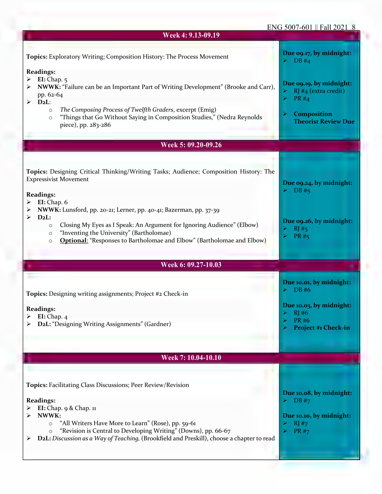#### ENG 5007-601 || Fall 2021 8

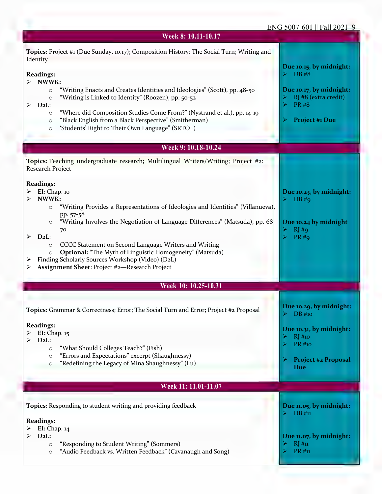### ENG 5007-601 || Fall 2021 9

| Week 8: 10.11-10.17                                                                                                                                                                                                                                                                                                                                                                                                                                                                                                                                                    |                                                                                                                                             |
|------------------------------------------------------------------------------------------------------------------------------------------------------------------------------------------------------------------------------------------------------------------------------------------------------------------------------------------------------------------------------------------------------------------------------------------------------------------------------------------------------------------------------------------------------------------------|---------------------------------------------------------------------------------------------------------------------------------------------|
| Topics: Project #1 (Due Sunday, 10.17); Composition History: The Social Turn; Writing and<br>Identity                                                                                                                                                                                                                                                                                                                                                                                                                                                                  |                                                                                                                                             |
| <b>Readings:</b><br>NWWK:<br>≻<br>"Writing Enacts and Creates Identities and Ideologies" (Scott), pp. 48-50<br>$\circ$<br>"Writing is Linked to Identity" (Roozen), pp. 50-52<br>$\circ$<br>$D_2L$ :<br>➤<br>"Where did Composition Studies Come From?" (Nystrand et al.), pp. 14-19<br>$\circ$<br>"Black English from a Black Perspective" (Smitherman)<br>$\circ$<br>'Students' Right to Their Own Language" (SRTOL)<br>$\circ$                                                                                                                                      | Due 10.15, by midnight:<br>$\triangleright$ DB#8<br>Due 10.17, by midnight:<br>RJ #8 (extra credit)<br><b>PR#8</b><br><b>Project #1 Due</b> |
| Week 9: 10.18-10.24                                                                                                                                                                                                                                                                                                                                                                                                                                                                                                                                                    |                                                                                                                                             |
| Topics: Teaching undergraduate research; Multilingual Writers/Writing; Project #2:                                                                                                                                                                                                                                                                                                                                                                                                                                                                                     |                                                                                                                                             |
| Research Project<br><b>Readings:</b><br>EI: Chap. 10<br>➤<br>NWWK:<br>⋗<br>"Writing Provides a Representations of Ideologies and Identities" (Villanueva),<br>$\circ$<br>pp. 57-58<br>"Writing Involves the Negotiation of Language Differences" (Matsuda), pp. 68-<br>$\circ$<br>70<br>$D_2L$ :<br>➤<br>CCCC Statement on Second Language Writers and Writing<br>$\circ$<br><b>Optional: "The Myth of Linguistic Homogeneity" (Matsuda)</b><br>$\circ$<br>Finding Scholarly Sources Workshop (Video) (D2L)<br>➤<br>Assignment Sheet: Project #2-Research Project<br>➤ | Due 10.23, by midnight:<br>DB#q<br>Due 10.24 by midnight<br>RJ#q<br><b>PR#9</b>                                                             |
| Week 10: 10.25-10.31                                                                                                                                                                                                                                                                                                                                                                                                                                                                                                                                                   |                                                                                                                                             |
| Topics: Grammar & Correctness; Error; The Social Turn and Error; Project #2 Proposal                                                                                                                                                                                                                                                                                                                                                                                                                                                                                   | Due 10.29, by midnight:<br>DB #10                                                                                                           |
| <b>Readings:</b><br>EI: Chap. 15<br>➤<br>$D_2L$ :<br>≻<br>"What Should Colleges Teach?" (Fish)<br>$\circ$<br>"Errors and Expectations" excerpt (Shaughnessy)<br>$\circ$<br>"Redefining the Legacy of Mina Shaughnessy" (Lu)<br>$\circ$                                                                                                                                                                                                                                                                                                                                 | Due 10.31, by midnight:<br>$RJ$ #10<br><b>PR</b> #10<br><b>Project #2 Proposal</b><br>Due                                                   |
| Week 11: 11.01-11.07                                                                                                                                                                                                                                                                                                                                                                                                                                                                                                                                                   |                                                                                                                                             |
| Topics: Responding to student writing and providing feedback                                                                                                                                                                                                                                                                                                                                                                                                                                                                                                           | Due 11.05, by midnight:<br>DB#n                                                                                                             |
| <b>Readings:</b><br>EI: Chap. 14<br>➤<br>$D_2L$ :<br>"Responding to Student Writing" (Sommers)<br>$\circ$<br>"Audio Feedback vs. Written Feedback" (Cavanaugh and Song)<br>$\circ$                                                                                                                                                                                                                                                                                                                                                                                     | Due 11.07, by midnight:<br>$RJ$ #11<br>PR #11                                                                                               |